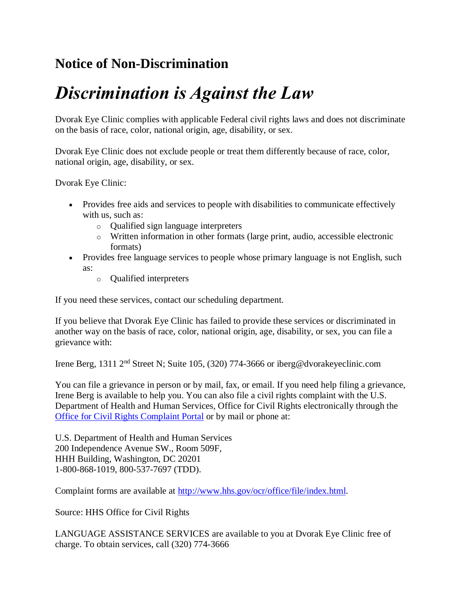# **Notice of Non-Discrimination**

# *Discrimination is Against the Law*

Dvorak Eye Clinic complies with applicable Federal civil rights laws and does not discriminate on the basis of race, color, national origin, age, disability, or sex.

Dvorak Eye Clinic does not exclude people or treat them differently because of race, color, national origin, age, disability, or sex.

Dvorak Eye Clinic:

- Provides free aids and services to people with disabilities to communicate effectively with us, such as:
	- o Qualified sign language interpreters
	- o Written information in other formats (large print, audio, accessible electronic formats)
- Provides free language services to people whose primary language is not English, such as:
	- o Qualified interpreters

If you need these services, contact our scheduling department.

If you believe that Dvorak Eye Clinic has failed to provide these services or discriminated in another way on the basis of race, color, national origin, age, disability, or sex, you can file a grievance with:

Irene Berg, 1311 2nd Street N; Suite 105, (320) 774-3666 or iberg@dvorakeyeclinic.com

You can file a grievance in person or by mail, fax, or email. If you need help filing a grievance, Irene Berg is available to help you. You can also file a civil rights complaint with the U.S. Department of Health and Human Services, Office for Civil Rights electronically through the [Office for Civil Rights Complaint Portal](https://ocrportal.hhs.gov/ocr/smartscreen/main.jsf) or by mail or phone at:

U.S. Department of Health and Human Services 200 Independence Avenue SW., Room 509F, HHH Building, Washington, DC 20201 1-800-868-1019, 800-537-7697 (TDD).

Complaint forms are available at [http://www.hhs.gov/ocr/office/file/index.html.](http://www.hhs.gov/ocr/office/file/index.html)

Source: HHS Office for Civil Rights

LANGUAGE ASSISTANCE SERVICES are available to you at Dvorak Eye Clinic free of charge. To obtain services, call (320) 774-3666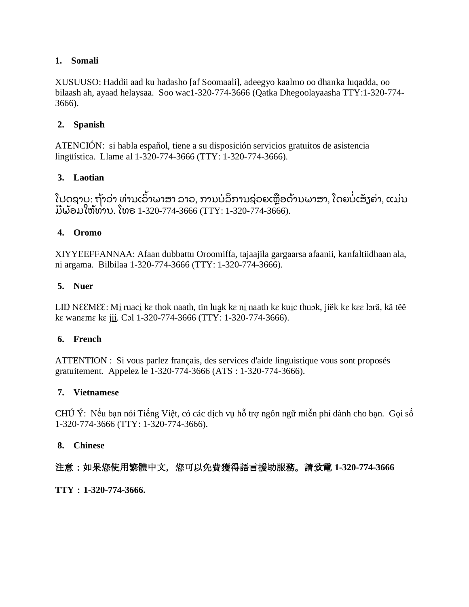# **1. Somali**

XUSUUSO: Haddii aad ku hadasho [af Soomaali], adeegyo kaalmo oo dhanka luqadda, oo bilaash ah, ayaad helaysaa. Soo wac1-320-774-3666 (Qatka Dhegoolayaasha TTY:1-320-774- 3666).

# **2. Spanish**

ATENCIÓN: si habla español, tiene a su disposición servicios gratuitos de asistencia lingüística. Llame al 1-320-774-3666 (TTY: 1-320-774-3666).

# **3. Laotian**

ໂປດຊາບ: ຖ້າວ່າ ທ່ານເວົາພາສາ ລາວ, ການບໍລິການຊ່ວຍເຫຼືອດ້ານພາສາ, ໂດຍບໍ່ເສັງຄ່າ, ແມ່ນ ມີ ພ້ ອມໃຫ້ທ່ ານ. ໂທຣ 1-320-774-3666 (TTY: 1-320-774-3666).

# **4. Oromo**

XIYYEEFFANNAA: Afaan dubbattu Oroomiffa, tajaajila gargaarsa afaanii, kanfaltiidhaan ala, ni argama. Bilbilaa 1-320-774-3666 (TTY: 1-320-774-3666).

# **5. Nuer**

LID NEEMEE: Mi ruaci ke thok naath, tin luack ke ni naath ke kuic thuɔk, jiëk ke kee lɔrä, kä tëë ke waneme ke jii. Col 1-320-774-3666 (TTY: 1-320-774-3666).

# **6. French**

ATTENTION : Si vous parlez français, des services d'aide linguistique vous sont proposés gratuitement. Appelez le 1-320-774-3666 (ATS : 1-320-774-3666).

# **7. Vietnamese**

CHÚ Ý: Nếu bạn nói Tiếng Việt, có các dịch vụ hỗ trợ ngôn ngữ miễn phí dành cho bạn. Gọi số 1-320-774-3666 (TTY: 1-320-774-3666).

# **8. Chinese**

# 注意:如果您使用繁體中文,您可以免費獲得語言援助服務。請致電 **1-320-774-3666**

**TTY**:**1-320-774-3666.**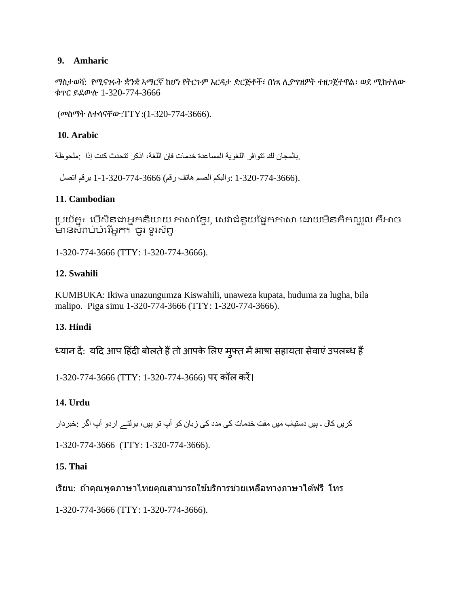#### **9. Amharic**

ማስታወሻ: የሚናገሩት ቋንቋ ኣማርኛ ከሆነ የትርጉም እርዳታ ድርጅቶች፣ በነጻ ሊያግዝዎት ተዘጋጀተዋል፡ ወደ ሚከተለው ቁጥር ይደውሉ 1-320-774-3666

(መስማት ለተሳናቸው:TTY:(1-320-774-3666).

# **10. Arabic**

.بالمجان لك تتوافر اللغوية المساعدة خدمات فإن اللغة، اذكر تتحدث كنت إذا :ملحوظة

.(1-320-774-3666 :والبكم الصم هاتف رقم) 1-1-320-774-3666 برقم اتصل

# **11. Cambodian**

ប្រយ័ត្ន៖ បើសិនជាអ្នកនិយាយ ភាសាខ្មែរ, សេវាជំនួយផ្នែកភាសា ដោយមិនគិតឈ្លួល គឺអាច មានសំរាប់បំរើអ្នក។ ចូរ ទូរស័ព្ទ

1-320-774-3666 (TTY: 1-320-774-3666).

# **12. Swahili**

KUMBUKA: Ikiwa unazungumza Kiswahili, unaweza kupata, huduma za lugha, bila malipo. Piga simu 1-320-774-3666 (TTY: 1-320-774-3666).

# **13. Hindi**

ध्यान दें: यदि आप हिंदी बोलते हैं तो आपके लिए मुफ्त में भाषा सहायता सेवाएं उपलब्ध हैं

1-320-774-3666 (TTY: 1-320-774-3666) पर कॉल करें।

# **14. Urdu**

کريں کال ۔ ہیں دستیاب میں مفت خدمات کی مدد کی زبان کو آپ تو ہیں، بولتے اردو آپ اگر :خبردار

1-320-774-3666 (TTY: 1-320-774-3666).

# **15. Thai**

# ี เรียน: ถ้าคุณพูดภาษาไทยคุณสามารถใช้บริการช่วยเหลือทางภาษาได้ฟรี โทร

1-320-774-3666 (TTY: 1-320-774-3666).